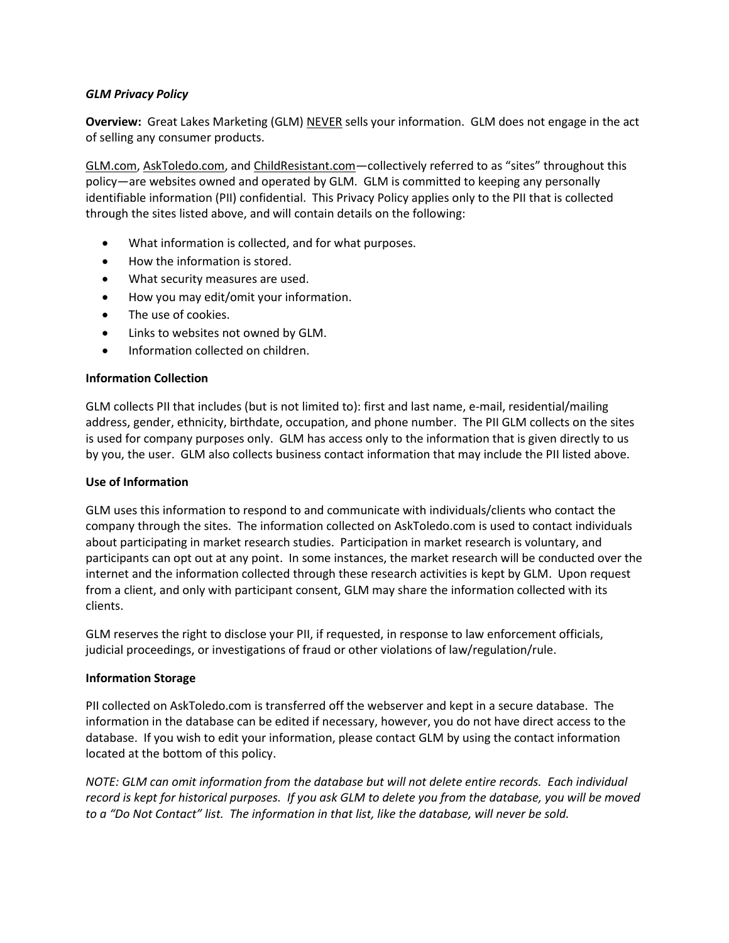## *GLM Privacy Policy*

**Overview:** Great Lakes Marketing (GLM) NEVER sells your information. GLM does not engage in the act of selling any consumer products.

GLM.com, AskToledo.com, and ChildResistant.com—collectively referred to as "sites" throughout this policy—are websites owned and operated by GLM. GLM is committed to keeping any personally identifiable information (PII) confidential. This Privacy Policy applies only to the PII that is collected through the sites listed above, and will contain details on the following:

- What information is collected, and for what purposes.
- How the information is stored.
- What security measures are used.
- How you may edit/omit your information.
- The use of cookies.
- Links to websites not owned by GLM.
- Information collected on children.

#### **Information Collection**

GLM collects PII that includes (but is not limited to): first and last name, e-mail, residential/mailing address, gender, ethnicity, birthdate, occupation, and phone number. The PII GLM collects on the sites is used for company purposes only. GLM has access only to the information that is given directly to us by you, the user. GLM also collects business contact information that may include the PII listed above.

#### **Use of Information**

GLM uses this information to respond to and communicate with individuals/clients who contact the company through the sites. The information collected on AskToledo.com is used to contact individuals about participating in market research studies. Participation in market research is voluntary, and participants can opt out at any point. In some instances, the market research will be conducted over the internet and the information collected through these research activities is kept by GLM. Upon request from a client, and only with participant consent, GLM may share the information collected with its clients.

GLM reserves the right to disclose your PII, if requested, in response to law enforcement officials, judicial proceedings, or investigations of fraud or other violations of law/regulation/rule.

### **Information Storage**

PII collected on AskToledo.com is transferred off the webserver and kept in a secure database. The information in the database can be edited if necessary, however, you do not have direct access to the database. If you wish to edit your information, please contact GLM by using the contact information located at the bottom of this policy.

*NOTE: GLM can omit information from the database but will not delete entire records. Each individual record is kept for historical purposes. If you ask GLM to delete you from the database, you will be moved to a "Do Not Contact" list. The information in that list, like the database, will never be sold.*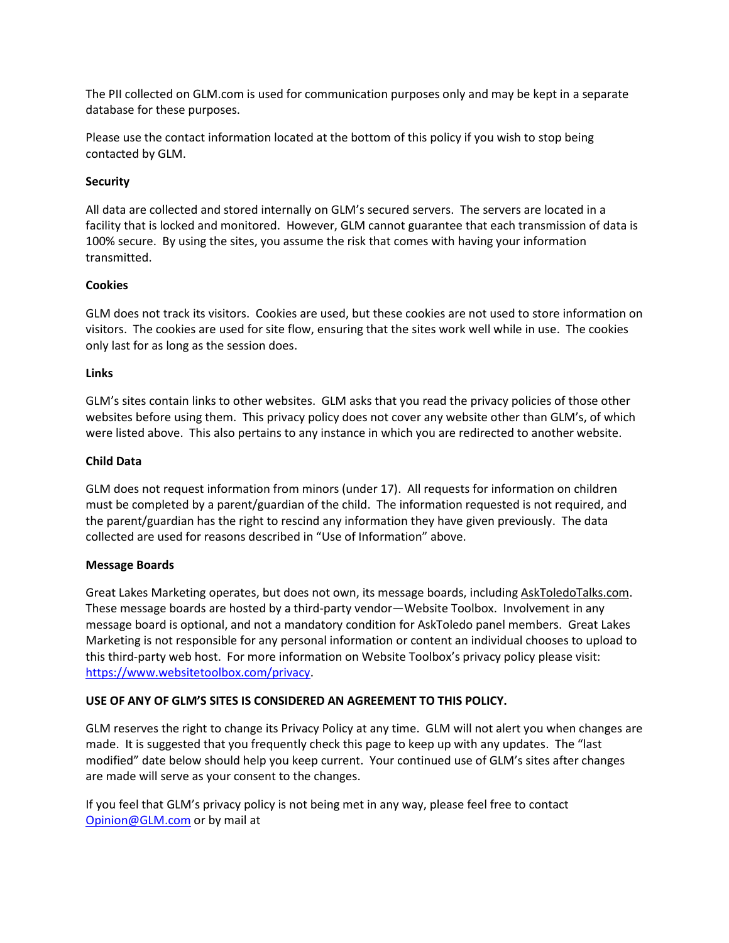The PII collected on GLM.com is used for communication purposes only and may be kept in a separate database for these purposes.

Please use the contact information located at the bottom of this policy if you wish to stop being contacted by GLM.

### **Security**

All data are collected and stored internally on GLM's secured servers. The servers are located in a facility that is locked and monitored. However, GLM cannot guarantee that each transmission of data is 100% secure. By using the sites, you assume the risk that comes with having your information transmitted.

## **Cookies**

GLM does not track its visitors. Cookies are used, but these cookies are not used to store information on visitors. The cookies are used for site flow, ensuring that the sites work well while in use. The cookies only last for as long as the session does.

## **Links**

GLM's sites contain links to other websites. GLM asks that you read the privacy policies of those other websites before using them. This privacy policy does not cover any website other than GLM's, of which were listed above. This also pertains to any instance in which you are redirected to another website.

## **Child Data**

GLM does not request information from minors (under 17). All requests for information on children must be completed by a parent/guardian of the child. The information requested is not required, and the parent/guardian has the right to rescind any information they have given previously. The data collected are used for reasons described in "Use of Information" above.

### **Message Boards**

Great Lakes Marketing operates, but does not own, its message boards, including AskToledoTalks.com. These message boards are hosted by a third-party vendor—Website Toolbox. Involvement in any message board is optional, and not a mandatory condition for AskToledo panel members. Great Lakes Marketing is not responsible for any personal information or content an individual chooses to upload to this third-party web host. For more information on Website Toolbox's privacy policy please visit: [https://www.websitetoolbox.com/privacy.](https://www.websitetoolbox.com/privacy)

# **USE OF ANY OF GLM'S SITES IS CONSIDERED AN AGREEMENT TO THIS POLICY.**

GLM reserves the right to change its Privacy Policy at any time. GLM will not alert you when changes are made. It is suggested that you frequently check this page to keep up with any updates. The "last modified" date below should help you keep current. Your continued use of GLM's sites after changes are made will serve as your consent to the changes.

If you feel that GLM's privacy policy is not being met in any way, please feel free to contact [Opinion@GLM.com](mailto:Opinion@GLM.com) or by mail at